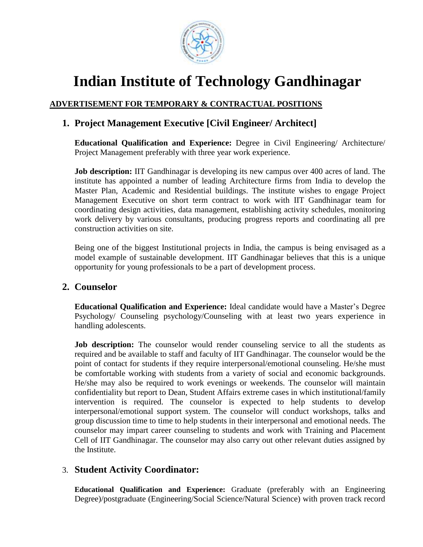

# **Indian Institute of Technology Gandhinagar**

## **ADVERTISEMENT FOR TEMPORARY & CONTRACTUAL POSITIONS**

# **1. Project Management Executive [Civil Engineer/ Architect]**

**Educational Qualification and Experience:** Degree in Civil Engineering/ Architecture/ Project Management preferably with three year work experience.

**Job description:** IIT Gandhinagar is developing its new campus over 400 acres of land. The institute has appointed a number of leading Architecture firms from India to develop the Master Plan, Academic and Residential buildings. The institute wishes to engage Project Management Executive on short term contract to work with IIT Gandhinagar team for coordinating design activities, data management, establishing activity schedules, monitoring work delivery by various consultants, producing progress reports and coordinating all pre construction activities on site.

Being one of the biggest Institutional projects in India, the campus is being envisaged as a model example of sustainable development. IIT Gandhinagar believes that this is a unique opportunity for young professionals to be a part of development process.

## **2. Counselor**

**Educational Qualification and Experience:** Ideal candidate would have a Master's Degree Psychology/ Counseling psychology/Counseling with at least two years experience in handling adolescents.

**Job description:** The counselor would render counseling service to all the students as required and be available to staff and faculty of IIT Gandhinagar. The counselor would be the point of contact for students if they require interpersonal/emotional counseling. He/she must be comfortable working with students from a variety of social and economic backgrounds. He/she may also be required to work evenings or weekends. The counselor will maintain confidentiality but report to Dean, Student Affairs extreme cases in which institutional/family intervention is required. The counselor is expected to help students to develop interpersonal/emotional support system. The counselor will conduct workshops, talks and group discussion time to time to help students in their interpersonal and emotional needs. The counselor may impart career counseling to students and work with Training and Placement Cell of IIT Gandhinagar. The counselor may also carry out other relevant duties assigned by the Institute.

# 3. **Student Activity Coordinator:**

**Educational Qualification and Experience:** Graduate (preferably with an Engineering Degree)/postgraduate (Engineering/Social Science/Natural Science) with proven track record